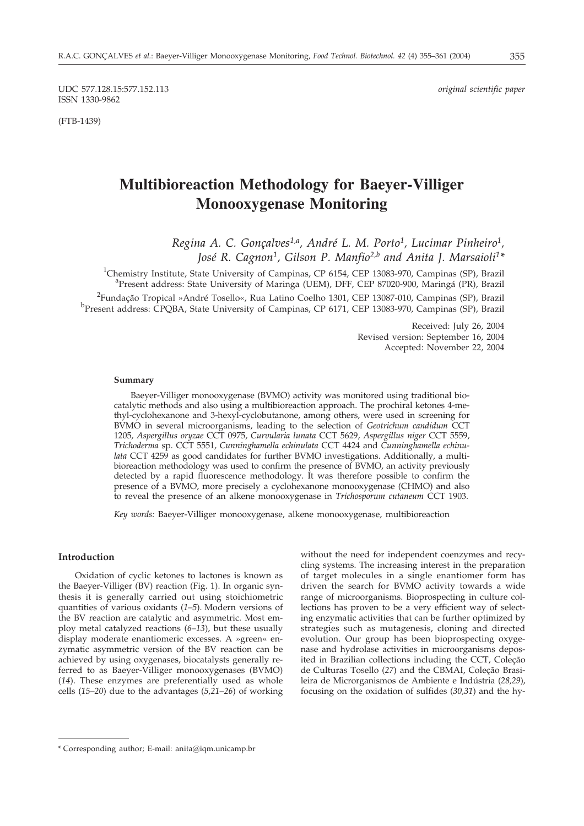UDC 577.128.15:577.152.113 *original scientific paper* ISSN 1330-9862

(FTB-1439)

# **Multibioreaction Methodology for Baeyer-Villiger Monooxygenase Monitoring**

*Regina A. C. Gonçalves1,a, André L. M. Porto1, Lucimar Pinheiro1, José R. Cagnon1, Gilson P. Manfio2,b and Anita J. Marsaioli1\**

<sup>1</sup>Chemistry Institute, State University of Campinas, CP 6154, CEP 13083-970, Campinas (SP), Brazil<br><sup>a</sup>Present address: State University of Maringa (UEM), DEE, CEP 87020-900, Maringá (PR), Brazil Present address: State University of Maringa (UEM), DFF, CEP 87020-900, Maringá (PR), Brazil <sup>2</sup> Fundação Tropical »André Tosello«, Rua Latino Coelho 1301, CEP 13087-010, Campinas (SP), Brazil<br><sup>b</sup> Present address: CPOBA, State University of Campinas, CP 6171, CEP 13083.970, Campinas (SP), Brazil <sup>b</sup>Present address: CPQBA, State University of Campinas, CP 6171, CEP 13083-970, Campinas (SP), Brazil

> Received: July 26, 2004 Revised version: September 16, 2004 Accepted: November 22, 2004

## **Summary**

Baeyer-Villiger monooxygenase (BVMO) activity was monitored using traditional biocatalytic methods and also using a multibioreaction approach. The prochiral ketones 4-methyl-cyclohexanone and 3-hexyl-cyclobutanone, among others, were used in screening for BVMO in several microorganisms, leading to the selection of *Geotrichum candidum* CCT 1205, *Aspergillus oryzae* CCT 0975, *Curvularia lunata* CCT 5629, *Aspergillus niger* CCT 5559, *Trichoderma* sp. CCT 5551, *Cunninghamella echinulata* CCT 4424 and *Cunninghamella echinulata* CCT 4259 as good candidates for further BVMO investigations. Additionally, a multibioreaction methodology was used to confirm the presence of BVMO, an activity previously detected by a rapid fluorescence methodology. It was therefore possible to confirm the presence of a BVMO, more precisely a cyclohexanone monooxygenase (CHMO) and also to reveal the presence of an alkene monooxygenase in *Trichosporum cutaneum* CCT 1903.

*Key words:* Baeyer-Villiger monooxygenase, alkene monooxygenase, multibioreaction

# **Introduction**

Oxidation of cyclic ketones to lactones is known as the Baeyer-Villiger (BV) reaction (Fig. 1). In organic synthesis it is generally carried out using stoichiometric quantities of various oxidants (*1–5*). Modern versions of the BV reaction are catalytic and asymmetric. Most employ metal catalyzed reactions (*6–13*), but these usually display moderate enantiomeric excesses. A »green« enzymatic asymmetric version of the BV reaction can be achieved by using oxygenases, biocatalysts generally referred to as Baeyer-Villiger monooxygenases (BVMO) (*14*). These enzymes are preferentially used as whole cells (*15–20*) due to the advantages (*5,21–26*) of working without the need for independent coenzymes and recycling systems. The increasing interest in the preparation of target molecules in a single enantiomer form has driven the search for BVMO activity towards a wide range of microorganisms. Bioprospecting in culture collections has proven to be a very efficient way of selecting enzymatic activities that can be further optimized by strategies such as mutagenesis, cloning and directed evolution. Our group has been bioprospecting oxygenase and hydrolase activities in microorganisms deposited in Brazilian collections including the CCT, Coleção de Culturas Tosello (*27*) and the CBMAI, Coleção Brasileira de Microrganismos de Ambiente e Indústria (*28,29*), focusing on the oxidation of sulfides (*30,31*) and the hy-

<sup>\*</sup> Corresponding author; E-mail: anita@iqm.unicamp.br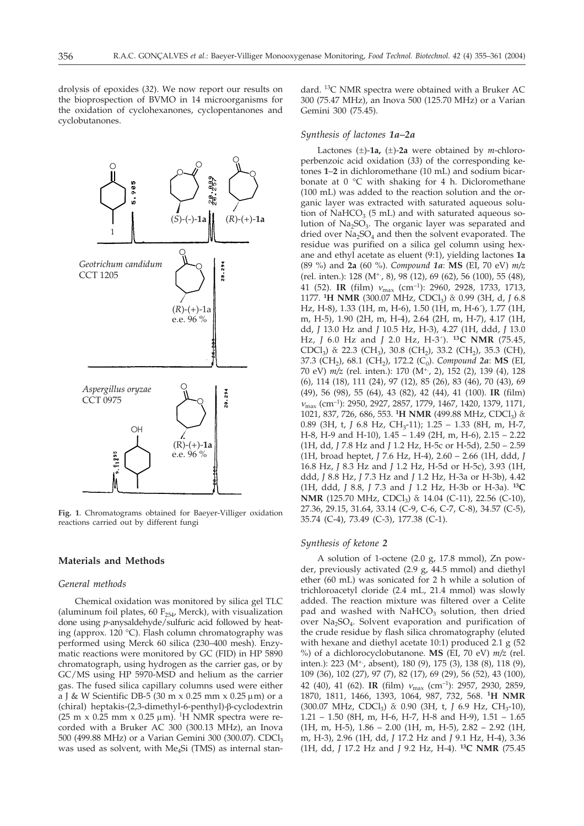drolysis of epoxides (*32*). We now report our results on the bioprospection of BVMO in 14 microorganisms for the oxidation of cyclohexanones, cyclopentanones and cyclobutanones.

dard. 13C NMR spectra were obtained with a Bruker AC 300 (75.47 MHz), an Inova 500 (125.70 MHz) or a Varian Gemini 300 (75.45).

### *Synthesis of lactones 1a–2a*

Lactones  $(\pm)$ -1a,  $(\pm)$ -2a were obtained by *m*-chloroperbenzoic acid oxidation (*33*) of the corresponding ketones **1**–**2** in dichloromethane (10 mL) and sodium bicarbonate at 0 °C with shaking for 4 h. Dicloromethane (100 mL) was added to the reaction solution and the organic layer was extracted with saturated aqueous solution of NaHCO<sub>3</sub> (5 mL) and with saturated aqueous solution of  $Na<sub>2</sub>SO<sub>3</sub>$ . The organic layer was separated and dried over  $Na<sub>2</sub>SO<sub>4</sub>$  and then the solvent evaporated. The residue was purified on a silica gel column using hexane and ethyl acetate as eluent (9:1), yielding lactones **1a** (89 %) and **2a** (60 %). *Compound 1a*: **MS** (EI, 70 eV) *m/z* (rel. inten.): 128 (M<sup>+</sup>, 8), 98 (12), 69 (62), 56 (100), 55 (48), 41 (52). **IR** (film)  $v_{\text{max}}$  (cm<sup>-1</sup>): 2960, 2928, 1733, 1713, 1177. <sup>1</sup>H NMR (300.07 MHz, CDCl<sub>3</sub>)  $\delta$ : 0.99 (3H, d, *J* 6.8 Hz, H-8), 1.33 (1H, m, H-6), 1.50 (1H, m, H-6´), 1.77 (1H, m, H-5), 1.90 (2H, m, H-4), 2.64 (2H, m, H-7), 4.17 (1H, dd, *J* 13.0 Hz and *J* 10.5 Hz, H-3), 4.27 (1H, ddd, *J* 13.0 Hz, *J* 6.0 Hz and *J* 2.0 Hz, H-3´). **13C NMR** (75.45, CDCl<sub>3</sub>)  $\&$  22.3 (CH<sub>3</sub>), 30.8 (CH<sub>2</sub>), 33.2 (CH<sub>2</sub>), 35.3 (CH), 37.3 (CH<sub>2</sub>), 68.1 (CH<sub>2</sub>), 172.2 (C<sub>0</sub>). *Compound 2a*: **MS** (EI, 70 eV) *m/z* (rel. inten.): 170 (M+., 2), 152 (2), 139 (4), 128 (6), 114 (18), 111 (24), 97 (12), 85 (26), 83 (46), 70 (43), 69 (49), 56 (98), 55 (64), 43 (82), 42 (44), 41 (100). **IR** (film)  $v_{\text{max}}$  (cm<sup>-1</sup>): 2950, 2927, 2857, 1779, 1467, 1420, 1379, 1171, 1021, 837, 726, 686, 553. <sup>1</sup>H NMR (499.88 MHz, CDCl<sub>3</sub>)  $\delta$ : 0.89 (3H, t, *J* 6.8 Hz, CH<sub>3</sub>-11); 1.25 - 1.33 (8H, m, H-7, H-8, H-9 and H-10), 1.45 – 1.49 (2H, m, H-6), 2.15 – 2.22 (1H, dd, *J* 7.8 Hz and *J* 1.2 Hz, H-5c or H-5d), 2.50 – 2.59 (1H, broad heptet, *J* 7.6 Hz, H-4), 2.60 – 2.66 (1H, ddd, *J* 16.8 Hz, *J* 8.3 Hz and *J* 1.2 Hz, H-5d or H-5c), 3.93 (1H, ddd, *J* 8.8 Hz, *J* 7.3 Hz and *J* 1.2 Hz, H-3a or H-3b), 4.42 (1H, ddd, *J* 8.8, *J* 7.3 and *J* 1.2 Hz, H-3b or H-3a). **13C NMR** (125.70 MHz, CDCl<sub>3</sub>)  $\delta$ : 14.04 (C-11), 22.56 (C-10), 27.36, 29.15, 31.64, 33.14 (C-9, C-6, C-7, C-8), 34.57 (C-5), 35.74 (C-4), 73.49 (C-3), 177.38 (C-1).

#### *Synthesis of ketone 2*

A solution of 1-octene (2.0 g, 17.8 mmol), Zn powder, previously activated (2.9 g, 44.5 mmol) and diethyl ether (60 mL) was sonicated for 2 h while a solution of trichloroacetyl cloride (2.4 mL, 21.4 mmol) was slowly added. The reaction mixture was filtered over a Celite pad and washed with  $NAHCO<sub>3</sub>$  solution, then dried over  $Na<sub>2</sub>SO<sub>4</sub>$ . Solvent evaporation and purification of the crude residue by flash silica chromatography (eluted with hexane and diethyl acetate 10:1) produced 2.1 g (52 %) of a dichlorocyclobutanone. **MS** (EI, 70 eV) *m/z* (rel. inten.): 223 (M<sup>+</sup>, absent), 180 (9), 175 (3), 138 (8), 118 (9), 109 (36), 102 (27), 97 (7), 82 (17), 69 (29), 56 (52), 43 (100), 42 (40), 41 (62). **IR** (film)  $v_{\text{max}}$  (cm<sup>-1</sup>): 2957, 2930, 2859, 1870, 1811, 1466, 1393, 1064, 987, 732, 568. **1H NMR** (300.07 MHz, CDCl<sub>3</sub>)  $\delta$ : 0.90 (3H, t, *J* 6.9 Hz, CH<sub>3</sub>-10), 1.21 – 1.50 (8H, m, H-6, H-7, H-8 and H-9), 1.51 – 1.65 (1H, m, H-5), 1.86 – 2.00 (1H, m, H-5), 2.82 – 2.92 (1H, m, H-3), 2.96 (1H, dd, *J* 17.2 Hz and *J* 9.1 Hz, H-4), 3.36 (1H, dd, *J* 17.2 Hz and *J* 9.2 Hz, H-4). **13C NMR** (75.45

**Fig. 1**. Chromatograms obtained for Baeyer-Villiger oxidation reactions carried out by different fungi

#### **Materials and Methods**

# *General methods*

Chemical oxidation was monitored by silica gel TLC (aluminum foil plates, 60  $F_{254}$ , Merck), with visualization done using *p*-anysaldehyde/sulfuric acid followed by heating (approx. 120 °C). Flash column chromatography was performed using Merck 60 silica (230–400 mesh). Enzymatic reactions were monitored by GC (FID) in HP 5890 chromatograph, using hydrogen as the carrier gas, or by GC/MS using HP 5970-MSD and helium as the carrier gas. The fused silica capillary columns used were either a J & W Scientific DB-5 (30 m x 0.25 mm x 0.25  $\mu$ m) or a (chiral) heptakis-(2,3-dimethyl-6-penthyl)-β-cyclodextrin (25 m x 0.25 mm x 0.25  $\mu$ m). <sup>1</sup>H NMR spectra were recorded with a Bruker AC 300 (300.13 MHz), an Inova 500 (499.88 MHz) or a Varian Gemini 300 (300.07). CDCl<sub>3</sub> was used as solvent, with  $Me<sub>4</sub>Si$  (TMS) as internal stan-

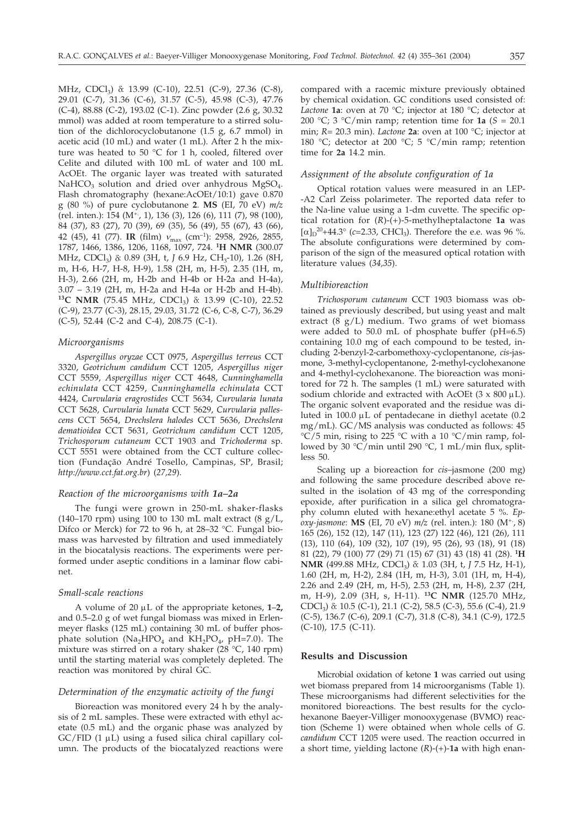MHz, CDCl<sub>3</sub>)  $\delta$ : 13.99 (C-10), 22.51 (C-9), 27.36 (C-8), 29.01 (C-7), 31.36 (C-6), 31.57 (C-5), 45.98 (C-3), 47.76 (C-4), 88.88 (C-2), 193.02 (C-1). Zinc powder (2.6 g, 30.32 mmol) was added at room temperature to a stirred solution of the dichlorocyclobutanone (1.5 g, 6.7 mmol) in acetic acid (10 mL) and water (1 mL). After 2 h the mixture was heated to 50 °C for 1 h, cooled, filtered over Celite and diluted with 100 mL of water and 100 mL AcOEt. The organic layer was treated with saturated NaHCO<sub>3</sub> solution and dried over anhydrous MgSO<sub>4</sub>. Flash chromatography (hexane:AcOEt/10:1) gave 0.870 g (80 %) of pure cyclobutanone **2**. **MS** (EI, 70 eV) *m/z* (rel. inten.): 154 (M<sup>+</sup>, 1), 136 (3), 126 (6), 111 (7), 98 (100), 84 (37), 83 (27), 70 (39), 69 (35), 56 (49), 55 (67), 43 (66), 42 (45), 41 (77). **IR** (film)  $v_{\text{max}}$  (cm<sup>-1</sup>): 2958, 2926, 2855, 1787, 1466, 1386, 1206, 1168, 1097, 724. **1H NMR** (300.07 MHz, CDCl<sub>3</sub>) δ: 0.89 (3H, t, *J* 6.9 Hz, CH<sub>3</sub>-10), 1.26 (8H, m, H-6, H-7, H-8, H-9), 1.58 (2H, m, H-5), 2.35 (1H, m, H-3), 2.66 (2H, m, H-2b and H-4b or H-2a and H-4a), 3.07 – 3.19 (2H, m, H-2a and H-4a or H-2b and H-4b). <sup>13</sup>C NMR (75.45 MHz, CDCl<sub>3</sub>)  $\delta$ : 13.99 (C-10), 22.52 (C-9), 23.77 (C-3), 28.15, 29.03, 31.72 (C-6, C-8, C-7), 36.29 (C-5), 52.44 (C-2 and C-4), 208.75 (C-1).

#### *Microorganisms*

*Aspergillus oryzae* CCT 0975, *Aspergillus terreus* CCT 3320, *Geotrichum candidum* CCT 1205, *Aspergillus niger* CCT 5559, *Aspergillus niger* CCT 4648, *Cunninghamella echinulata* CCT 4259, *Cunninghamella echinulata* CCT 4424, *Curvularia eragrostides* CCT 5634, *Curvularia lunata* CCT 5628, *Curvularia lunata* CCT 5629, *Curvularia pallescens* CCT 5654, *Drechslera halodes* CCT 5636, *Drechslera dematioidea* CCT 5631, *Geotrichum candidum* CCT 1205, *Trichosporum cutaneum* CCT 1903 and *Trichoderma* sp. CCT 5551 were obtained from the CCT culture collection (Fundação André Tosello, Campinas, SP, Brasil; *http://www.cct.fat.org.br*) (*27,29*).

#### *Reaction of the microorganisms with 1a–2a*

The fungi were grown in 250-mL shaker-flasks (140–170 rpm) using 100 to 130 mL malt extract (8 g/L, Difco or Merck) for 72 to 96 h, at 28–32 °C. Fungal biomass was harvested by filtration and used immediately in the biocatalysis reactions. The experiments were performed under aseptic conditions in a laminar flow cabinet.

#### *Small-scale reactions*

A volume of  $20 \mu L$  of the appropriate ketones,  $1-2$ , and 0.5–2.0 g of wet fungal biomass was mixed in Erlenmeyer flasks (125 mL) containing 30 mL of buffer phosphate solution (Na<sub>2</sub>HPO<sub>4</sub> and KH<sub>2</sub>PO<sub>4</sub>, pH=7.0). The mixture was stirred on a rotary shaker (28 °C, 140 rpm) until the starting material was completely depleted. The reaction was monitored by chiral GC.

# *Determination of the enzymatic activity of the fungi*

Bioreaction was monitored every 24 h by the analysis of 2 mL samples. These were extracted with ethyl acetate (0.5 mL) and the organic phase was analyzed by  $GC/FID$  (1  $\mu$ L) using a fused silica chiral capillary column. The products of the biocatalyzed reactions were

compared with a racemic mixture previously obtained by chemical oxidation. GC conditions used consisted of: *Lactone* **1a**: oven at 70 °C; injector at 180 °C; detector at 200 °C; 3 °C/min ramp; retention time for **1a** ( $S = 20.1$ ) min; *R*= 20.3 min). *Lactone* **2a**: oven at 100 °C; injector at 180 °C; detector at 200 °C; 5 °C/min ramp; retention time for **2a** 14.2 min.

# *Assignment of the absolute configuration of 1a*

Optical rotation values were measured in an LEP- -A2 Carl Zeiss polarimeter. The reported data refer to the Na-line value using a 1-dm cuvette. The specific optical rotation for (*R*)-(+)-5-methylheptalactone **1a** was  $[\alpha]_D^{20}$ +44.3° (*c*=2.33, CHCl<sub>3</sub>). Therefore the e.e. was 96 %. The absolute configurations were determined by comparison of the sign of the measured optical rotation with literature values (*34,35*).

### *Multibioreaction*

*Trichosporum cutaneum* CCT 1903 biomass was obtained as previously described, but using yeast and malt extract  $(8 \text{ g/L})$  medium. Two grams of wet biomass were added to 50.0 mL of phosphate buffer (pH=6.5) containing 10.0 mg of each compound to be tested, including 2-benzyl-2-carbomethoxy-cyclopentanone, *cis*-jasmone, 3-methyl-cyclopentanone, 2-methyl-cyclohexanone and 4-methyl-cyclohexanone. The bioreaction was monitored for 72 h. The samples (1 mL) were saturated with sodium chloride and extracted with AcOEt (3 x 800  $\mu$ L). The organic solvent evaporated and the residue was diluted in 100.0  $\mu$ L of pentadecane in diethyl acetate (0.2 mg/mL). GC/MS analysis was conducted as follows: 45  $\rm{°C}/5$  min, rising to 225  $\rm{°C}$  with a 10  $\rm{°C/min}$  ramp, followed by 30 °C/min until 290 °C, 1 mL/min flux, splitless 50.

Scaling up a bioreaction for *cis*–jasmone (200 mg) and following the same procedure described above resulted in the isolation of 43 mg of the corresponding epoxide, after purification in a silica gel chromatography column eluted with hexane:ethyl acetate 5 %. *Epoxy-jasmone*: **MS** (EI, 70 eV) *m/z* (rel. inten.): 180 (M+., 8) 165 (26), 152 (12), 147 (11), 123 (27) 122 (46), 121 (26), 111 (13), 110 (64), 109 (32), 107 (19), 95 (26), 93 (18), 91 (18) 81 (22), 79 (100) 77 (29) 71 (15) 67 (31) 43 (18) 41 (28). **1H NMR** (499.88 MHz, CDCl<sub>3</sub>)  $\delta$ : 1.03 (3H, t, *J* 7.5 Hz, H-1), 1.60 (2H, m, H-2), 2.84 (1H, m, H-3), 3.01 (1H, m, H-4), 2.26 and 2.49 (2H, m, H-5), 2.53 (2H, m, H-8), 2.37 (2H, m, H-9), 2.09 (3H, s, H-11). **13C NMR** (125.70 MHz, CDCl<sub>3</sub>)  $\delta$ : 10.5 (C-1), 21.1 (C-2), 58.5 (C-3), 55.6 (C-4), 21.9 (C-5), 136.7 (C-6), 209.1 (C-7), 31.8 (C-8), 34.1 (C-9), 172.5 (C-10), 17.5 (C-11).

# **Results and Discussion**

Microbial oxidation of ketone **1** was carried out using wet biomass prepared from 14 microorganisms (Table 1). These microorganisms had different selectivities for the monitored bioreactions. The best results for the cyclohexanone Baeyer-Villiger monooxygenase (BVMO) reaction (Scheme 1) were obtained when whole cells of *G. candidum* CCT 1205 were used. The reaction occurred in a short time, yielding lactone (*R*)-(+)-**1a** with high enan-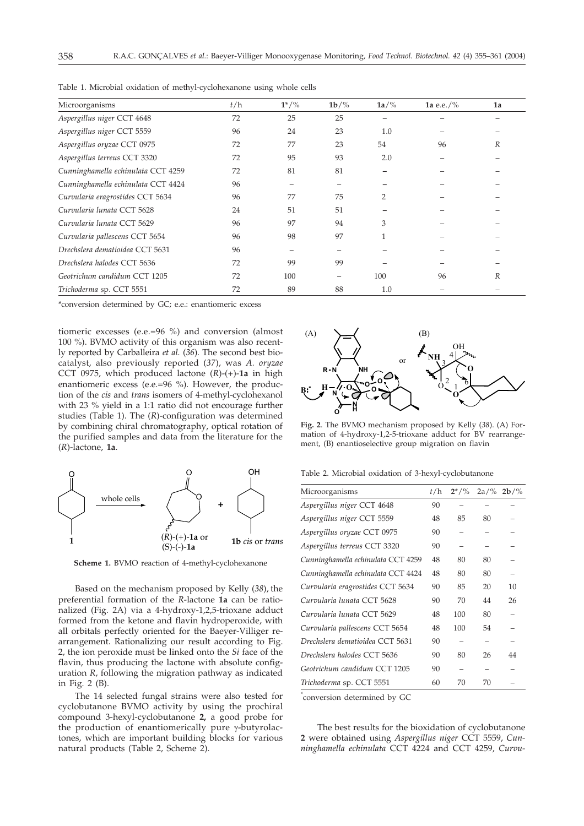| Microorganisms                     | t/h | $1^{*/\%}$ | $1b/\%$ | $1a/\%$        | 1a e.e./ $\%$ | 1a               |  |
|------------------------------------|-----|------------|---------|----------------|---------------|------------------|--|
| Aspergillus niger CCT 4648         | 72  | 25         | 25      |                |               |                  |  |
| Aspergillus niger CCT 5559         | 96  | 24         | 23      | 1.0            |               |                  |  |
| Aspergillus oryzae CCT 0975        | 72  | 77         | 23      | 54             | 96            | $\boldsymbol{R}$ |  |
| Aspergillus terreus CCT 3320       | 72  | 95         | 93      | 2.0            |               |                  |  |
| Cunninghamella echinulata CCT 4259 | 72  | 81         | 81      |                |               |                  |  |
| Cunninghamella echinulata CCT 4424 | 96  |            |         |                |               |                  |  |
| Curvularia eragrostides CCT 5634   | 96  | 77         | 75      | $\overline{2}$ |               |                  |  |
| Curvularia lunata CCT 5628         | 24  | 51         | 51      |                |               |                  |  |
| Curvularia lunata CCT 5629         | 96  | 97         | 94      | 3              |               |                  |  |
| Curvularia pallescens CCT 5654     | 96  | 98         | 97      | $\mathbf{1}$   |               |                  |  |
| Drechslera dematioidea CCT 5631    | 96  |            |         |                |               |                  |  |
| Drechslera halodes CCT 5636        | 72  | 99         | 99      |                |               |                  |  |
| Geotrichum candidum CCT 1205       | 72  | 100        |         | 100            | 96            | $\boldsymbol{R}$ |  |
| Trichoderma sp. CCT 5551           | 72  | 89         | 88      | 1.0            |               |                  |  |

Table 1. Microbial oxidation of methyl-cyclohexanone using whole cells

\*conversion determined by GC; e.e.: enantiomeric excess

tiomeric excesses (e.e.*=*96 %) and conversion (almost 100 %). BVMO activity of this organism was also recently reported by Carballeira *et al.* (*36*). The second best biocatalyst, also previously reported (*37*), was *A. oryzae* CCT 0975, which produced lactone (*R*)-(+)-**1a** in high enantiomeric excess (e.e.=96 %). However, the production of the *cis* and *trans* isomers of 4-methyl-cyclohexanol with 23 % yield in a 1:1 ratio did not encourage further studies (Table 1). The (*R*)-configuration was determined by combining chiral chromatography, optical rotation of the purified samples and data from the literature for the (*R*)-lactone, **1a**.



**Scheme 1.** BVMO reaction of 4-methyl-cyclohexanone

Based on the mechanism proposed by Kelly (*38*), the preferential formation of the *R*-lactone **1a** can be rationalized (Fig. 2A) via a 4-hydroxy-1,2,5-trioxane adduct formed from the ketone and flavin hydroperoxide, with all orbitals perfectly oriented for the Baeyer-Villiger rearrangement. Rationalizing our result according to Fig. 2, the ion peroxide must be linked onto the *Si* face of the flavin, thus producing the lactone with absolute configuration *R*, following the migration pathway as indicated in Fig. 2 (B).

The 14 selected fungal strains were also tested for cyclobutanone BVMO activity by using the prochiral compound 3-hexyl-cyclobutanone **2,** a good probe for the production of enantiomerically pure  $\gamma$ -butyrolactones, which are important building blocks for various natural products (Table 2, Scheme 2).



**Fig. 2**. The BVMO mechanism proposed by Kelly (*38*). (A) Formation of 4-hydroxy-1,2-5-trioxane adduct for BV rearrangement, (B) enantioselective group migration on flavin

Table 2. Microbial oxidation of 3-hexyl-cyclobutanone

| Microorganisms                     | t/h | $2^{*/\%}$ | 2a/% | $2b$ /% |
|------------------------------------|-----|------------|------|---------|
| Aspergillus niger CCT 4648         | 90  |            |      |         |
| Aspergillus niger CCT 5559         | 48  | 85         | 80   |         |
| Aspergillus oryzae CCT 0975        | 90  |            |      |         |
| Aspergillus terreus CCT 3320       | 90  | -          |      |         |
| Cunninghamella echinulata CCT 4259 | 48  | 80         | 80   |         |
| Cunninghamella echinulata CCT 4424 | 48  | 80         | 80   |         |
| Curvularia eragrostides CCT 5634   | 90  | 85         | 20   | 10      |
| Curvularia lunata CCT 5628         | 90  | 70         | 44   | 26      |
| Curvularia lunata CCT 5629         | 48  | 100        | 80   |         |
| Curvularia pallescens CCT 5654     | 48  | 100        | 54   |         |
| Drechslera dematioidea CCT 5631    | 90  |            |      |         |
| Drechslera halodes CCT 5636        | 90  | 80         | 26   | 44      |
| Geotrichum candidum CCT 1205       | 90  |            |      |         |
| Trichoderma sp. CCT 5551           | 60  | 70         | 70   |         |

\* conversion determined by GC

The best results for the bioxidation of cyclobutanone **2** were obtained using *Aspergillus niger* CCT 5559, *Cunninghamella echinulata* CCT 4224 and CCT 4259, *Curvu-*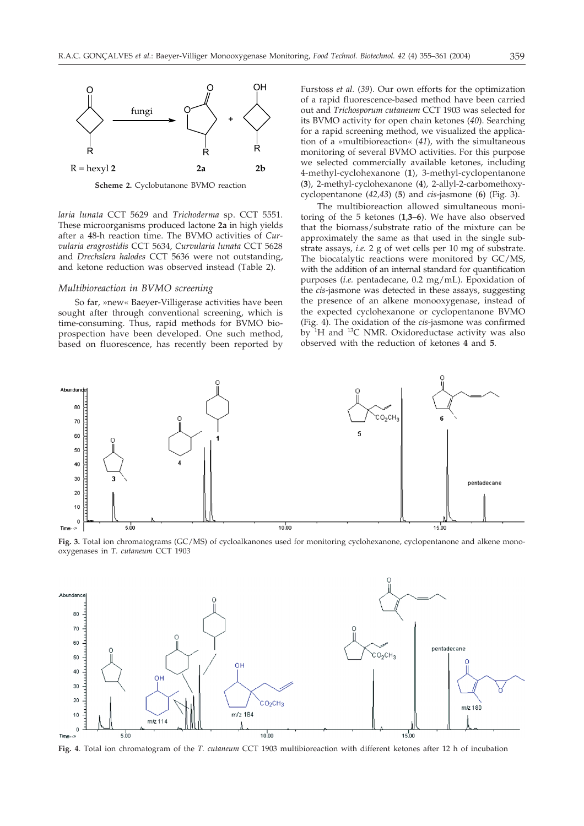

**Scheme 2.** Cyclobutanone BVMO reaction

*laria lunata* CCT 5629 and *Trichoderma* sp. CCT 5551. These microorganisms produced lactone **2a** in high yields after a 48-h reaction time. The BVMO activities of *Curvularia eragrostidis* CCT 5634, *Curvularia lunata* CCT 5628 and *Drechslera halodes* CCT 5636 were not outstanding, and ketone reduction was observed instead (Table 2).

#### *Multibioreaction in BVMO screening*

So far, »new« Baeyer-Villigerase activities have been sought after through conventional screening, which is time-consuming. Thus, rapid methods for BVMO bioprospection have been developed. One such method, based on fluorescence, has recently been reported by Furstoss *et al.* (*39*). Our own efforts for the optimization of a rapid fluorescence-based method have been carried out and *Trichosporum cutaneum* CCT 1903 was selected for its BVMO activity for open chain ketones (*40*). Searching for a rapid screening method, we visualized the application of a »multibioreaction« (*41*), with the simultaneous monitoring of several BVMO activities. For this purpose we selected commercially available ketones, including 4-methyl-cyclohexanone (**1**), 3-methyl-cyclopentanone (**3**), 2-methyl-cyclohexanone (**4**), 2-allyl-2-carbomethoxycyclopentanone (*42,43*) (**5**) and *cis*-jasmone (**6**) (Fig. 3).

The multibioreaction allowed simultaneous monitoring of the 5 ketones (**1**,**3–6**). We have also observed that the biomass/substrate ratio of the mixture can be approximately the same as that used in the single substrate assays, *i.e.* 2 g of wet cells per 10 mg of substrate. The biocatalytic reactions were monitored by GC/MS, with the addition of an internal standard for quantification purposes (*i.e.* pentadecane, 0.2 mg/mL). Epoxidation of the *cis*-jasmone was detected in these assays, suggesting the presence of an alkene monooxygenase, instead of the expected cyclohexanone or cyclopentanone BVMO (Fig. 4). The oxidation of the *cis-*jasmone was confirmed by 1H and 13C NMR. Oxidoreductase activity was also observed with the reduction of ketones **4** and **5**.



**Fig. 3.** Total ion chromatograms (GC/MS) of cycloalkanones used for monitoring cyclohexanone, cyclopentanone and alkene monooxygenases in *T. cutaneum* CCT 1903



**Fig. 4**. Total ion chromatogram of the *T. cutaneum* CCT 1903 multibioreaction with different ketones after 12 h of incubation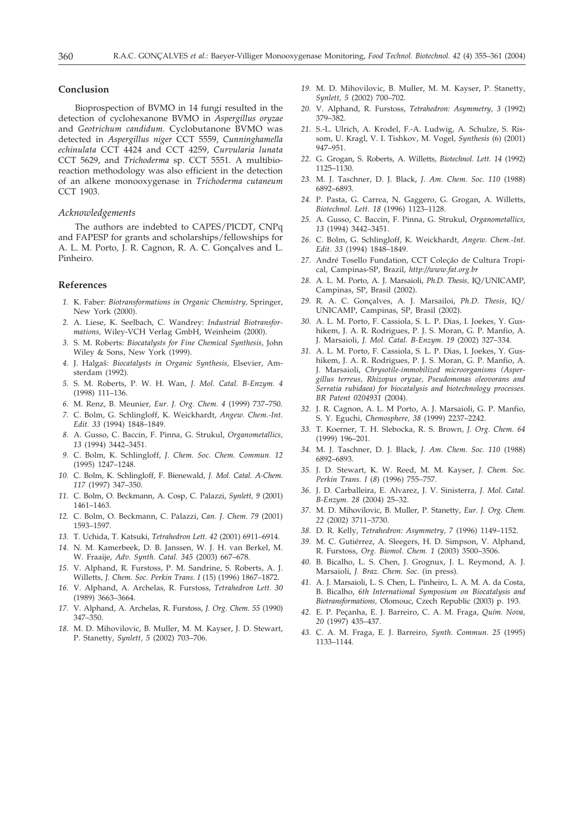# **Conclusion**

Bioprospection of BVMO in 14 fungi resulted in the detection of cyclohexanone BVMO in *Aspergillus oryzae* and *Geotrichum candidum*. Cyclobutanone BVMO was detected in *Aspergillus niger* CCT 5559, *Cunninghamella echinulata* CCT 4424 and CCT 4259, *Curvularia lunata* CCT 5629, and *Trichoderma* sp. CCT 5551. A multibioreaction methodology was also efficient in the detection of an alkene monooxygenase in *Trichoderma cutaneum* CCT 1903.

# *Acknowledgements*

The authors are indebted to CAPES/PICDT, CNPq and FAPESP for grants and scholarships/fellowships for A. L. M. Porto, J. R. Cagnon, R. A. C. Gonçalves and L. Pinheiro.

#### **References**

- *1.* K. Faber: *Biotransformations in Organic Chemistry,* Springer, New York (2000).
- *2.* A. Liese, K. Seelbach, C. Wandrey: *Industrial Biotransformations,* Wiley-VCH Verlag GmbH, Weinheim (2000).
- *3.* S. M. Roberts: *Biocatalysts for Fine Chemical Synthesis*, John Wiley & Sons, New York (1999).
- *4.* J. Halga{: *Biocatalysts in Organic Synthesis*, Elsevier, Amsterdam (1992).
- *5.* S. M. Roberts, P. W. H. Wan, *J. Mol. Catal. B-Enzym. 4* (1998) 111–136.
- *6.* M. Renz, B. Meunier, *Eur. J. Org. Chem. 4* (1999) 737–750.
- *7.* C. Bolm, G. Schlingloff, K. Weickhardt, *Angew. Chem.-Int. Edit. 33* (1994) 1848–1849.
- *8.* A. Gusso, C. Baccin, F. Pinna, G. Strukul, *Organometallics, 13* (1994) 3442–3451.
- *9.* C. Bolm, K. Schlingloff, *J. Chem. Soc. Chem. Commun. 12* (1995) 1247–1248.
- *10.* C. Bolm, K. Schlingloff, F. Bienewald, *J. Mol. Catal. A-Chem. 117* (1997) 347–350.
- *11.* C. Bolm, O. Beckmann, A. Cosp, C. Palazzi, *Synlett, 9* (2001) 1461–1463.
- *12.* C. Bolm, O. Beckmann, C. Palazzi, *Can. J. Chem. 79* (2001) 1593–1597.
- *13.* T. Uchida, T. Katsuki, *Tetrahedron Lett. 42* (2001) 6911–6914.
- *14.* N. M. Kamerbeek, D. B. Janssen, W. J. H. van Berkel, M. W. Fraaije, *Adv. Synth. Catal. 345* (2003) 667–678.
- *15.* V. Alphand, R. Furstoss, P. M. Sandrine, S. Roberts, A. J. Willetts, *J. Chem. Soc. Perkin Trans. I* (15) (1996) 1867–1872.
- *16.* V. Alphand, A. Archelas, R. Furstoss, *Tetrahedron Lett. 30* (1989) 3663–3664.
- *17.* V. Alphand, A. Archelas, R. Furstoss, *J. Org. Chem. 55* (1990) 347–350.
- *18.* M. D. Mihovilovic, B. Muller, M. M. Kayser, J. D. Stewart, P. Stanetty, *Synlett, 5* (2002) 703–706.
- *19.* M. D. Mihovilovic, B. Muller, M. M. Kayser, P. Stanetty, *Synlett, 5* (2002) 700–702.
- *20.* V. Alphand, R. Furstoss, *Tetrahedron: Asymmetry, 3* (1992) 379–382.
- *21.* S.-L. Ulrich, A. Krodel, F.-A. Ludwig, A. Schulze, S. Rissom, U. Kragl, V. I. Tishkov, M. Vogel, *Synthesis* (6) (2001) 947–951.
- *22.* G. Grogan, S. Roberts, A. Willetts, *Biotechnol. Lett. 14* (1992) 1125–1130.
- *23.* M. J. Taschner, D. J. Black, *J. Am. Chem. Soc. 110* (1988) 6892–6893.
- *24.* P. Pasta, G. Carrea, N. Gaggero, G. Grogan, A. Willetts, *Biotechnol. Lett. 18* (1996) 1123–1128.
- *25.* A. Gusso, C. Baccin, F. Pinna, G. Strukul, *Organometallics, 13* (1994) 3442–3451.
- *26.* C. Bolm, G. Schlingloff, K. Weickhardt, *Angew. Chem.-Int. Edit. 33* (1994) 1848–1849.
- *27.* André Tosello Fundation, CCT Coleção de Cultura Tropical, Campinas-SP, Brazil, *http://www.fat.org.br*
- *28.* A. L. M. Porto, A. J. Marsaioli, *Ph.D. Thesis,* IQ/UNICAMP, Campinas, SP, Brasil (2002).
- *29.* R. A. C. Gonçalves, A. J. Marsailoi, *Ph.D. Thesis*, IQ/ UNICAMP, Campinas, SP, Brasil (2002).
- *30.* A. L. M. Porto, F. Cassiola, S. L. P. Dias, I. Joekes, Y. Gushikem, J. A. R. Rodrigues, P. J. S. Moran, G. P. Manfio, A. J. Marsaioli, *J. Mol. Catal. B-Enzym. 19* (2002) 327–334.
- *31.* A. L. M. Porto, F. Cassiola, S. L. P. Dias, I. Joekes, Y. Gushikem, J. A. R. Rodrigues, P. J. S. Moran, G. P. Manfio, A. J. Marsaioli, *Chrysotile-immobilized microorganisms (Aspergillus terreus, Rhizopus oryzae, Pseudomonas oleovorans and Serratia rubidaea) for biocatalysis and biotechnology processes. BR Patent 0204931* (2004).
- *32.* J. R. Cagnon, A. L. M Porto, A. J. Marsaioli, G. P. Manfio, S. Y. Eguchi, *Chemosphere, 38* (1999) 2237–2242.
- *33.* T. Koerner, T. H. Slebocka, R. S. Brown, *J. Org. Chem. 64* (1999) 196–201.
- *34.* M. J. Taschner, D. J. Black, *J. Am. Chem. Soc. 110* (1988) 6892–6893.
- *35.* J. D. Stewart, K. W. Reed, M. M. Kayser, *J. Chem. Soc. Perkin Trans. I* (*8*) (1996) 755–757.
- *36.* J. D. Carballeira, E. Alvarez, J. V. Sinisterra, *J. Mol. Catal. B-Enzym. 28* (2004) 25–32.
- *37.* M. D. Mihovilovic, B. Muller, P. Stanetty, *Eur*. *J. Org. Chem. 22* (2002) 3711–3730.
- *38.* D. R. Kelly, *Tetrahedron: Asymmetry, 7* (1996) 1149–1152.
- *39.* M. C. Gutiérrez, A. Sleegers, H. D. Simpson, V. Alphand, R. Furstoss, *Org. Biomol. Chem. 1* (2003) 3500–3506.
- *40.* B. Bicalho, L. S. Chen, J. Grognux, J. L. Reymond, A. J. Marsaioli, *J. Braz. Chem. Soc.* (in press).
- *41.* A. J. Marsaioli, L. S. Chen, L. Pinheiro, L. A. M. A. da Costa, B. Bicalho, *6th International Symposium on Biocatalysis and Biotransformations,* Olomouc, Czech Republic (2003) p. 193.
- *42.* E. P. Peçanha, E. J. Barreiro, C. A. M. Fraga, *Quím. Nova, 20* (1997) 435–437.
- *43.* C. A. M. Fraga, E. J. Barreiro, *Synth. Commun. 25* (1995) 1133–1144.